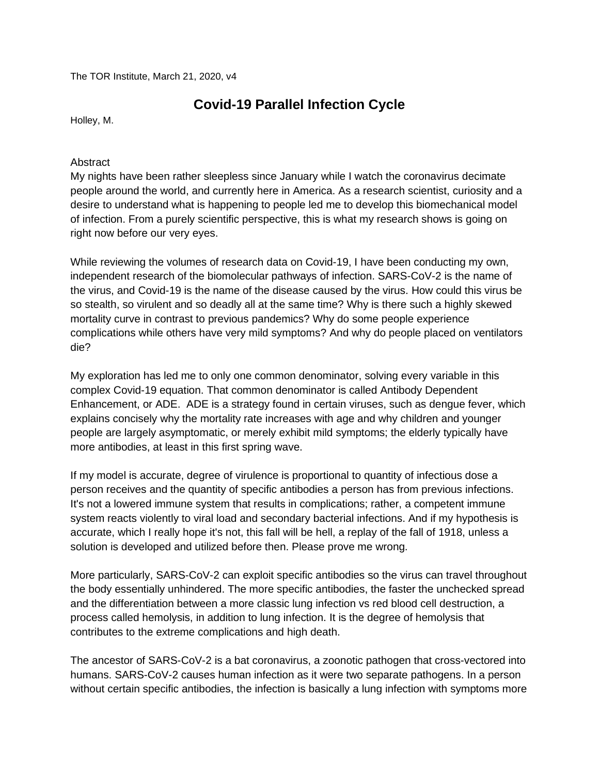The TOR Institute, March 21, 2020, v4

## **Covid-19 Parallel Infection Cycle**

Holley, M.

## Abstract

My nights have been rather sleepless since January while I watch the coronavirus decimate people around the world, and currently here in America. As a research scientist, curiosity and a desire to understand what is happening to people led me to develop this biomechanical model of infection. From a purely scientific perspective, this is what my research shows is going on right now before our very eyes.

While reviewing the volumes of research data on Covid-19, I have been conducting my own, independent research of the biomolecular pathways of infection. SARS-CoV-2 is the name of the virus, and Covid-19 is the name of the disease caused by the virus. How could this virus be so stealth, so virulent and so deadly all at the same time? Why is there such a highly skewed mortality curve in contrast to previous pandemics? Why do some people experience complications while others have very mild symptoms? And why do people placed on ventilators die?

My exploration has led me to only one common denominator, solving every variable in this complex Covid-19 equation. That common denominator is called Antibody Dependent Enhancement, or ADE. ADE is a strategy found in certain viruses, such as dengue fever, which explains concisely why the mortality rate increases with age and why children and younger people are largely asymptomatic, or merely exhibit mild symptoms; the elderly typically have more antibodies, at least in this first spring wave.

If my model is accurate, degree of virulence is proportional to quantity of infectious dose a person receives and the quantity of specific antibodies a person has from previous infections. It's not a lowered immune system that results in complications; rather, a competent immune system reacts violently to viral load and secondary bacterial infections. And if my hypothesis is accurate, which I really hope it's not, this fall will be hell, a replay of the fall of 1918, unless a solution is developed and utilized before then. Please prove me wrong.

More particularly, SARS-CoV-2 can exploit specific antibodies so the virus can travel throughout the body essentially unhindered. The more specific antibodies, the faster the unchecked spread and the differentiation between a more classic lung infection vs red blood cell destruction, a process called hemolysis, in addition to lung infection. It is the degree of hemolysis that contributes to the extreme complications and high death.

The ancestor of SARS-CoV-2 is a bat coronavirus, a zoonotic pathogen that cross-vectored into humans. SARS-CoV-2 causes human infection as it were two separate pathogens. In a person without certain specific antibodies, the infection is basically a lung infection with symptoms more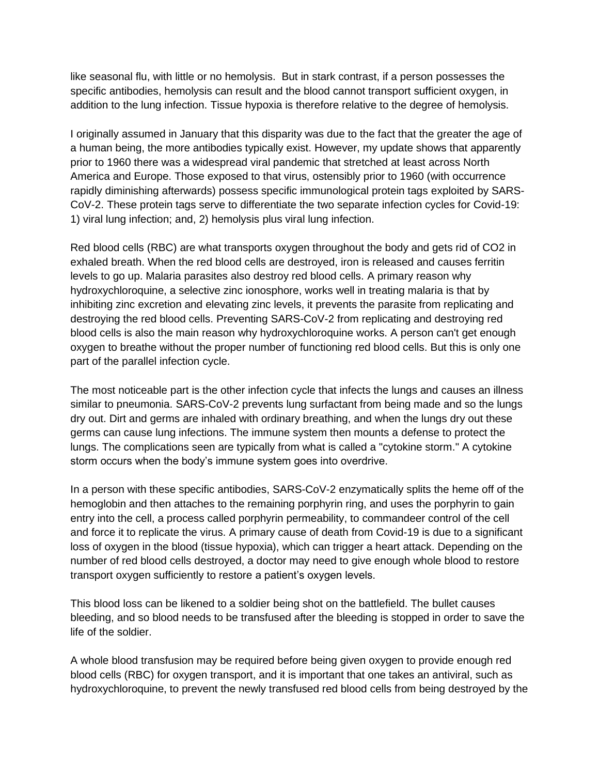like seasonal flu, with little or no hemolysis. But in stark contrast, if a person possesses the specific antibodies, hemolysis can result and the blood cannot transport sufficient oxygen, in addition to the lung infection. Tissue hypoxia is therefore relative to the degree of hemolysis.

I originally assumed in January that this disparity was due to the fact that the greater the age of a human being, the more antibodies typically exist. However, my update shows that apparently prior to 1960 there was a widespread viral pandemic that stretched at least across North America and Europe. Those exposed to that virus, ostensibly prior to 1960 (with occurrence rapidly diminishing afterwards) possess specific immunological protein tags exploited by SARS-CoV-2. These protein tags serve to differentiate the two separate infection cycles for Covid-19: 1) viral lung infection; and, 2) hemolysis plus viral lung infection.

Red blood cells (RBC) are what transports oxygen throughout the body and gets rid of CO2 in exhaled breath. When the red blood cells are destroyed, iron is released and causes ferritin levels to go up. Malaria parasites also destroy red blood cells. A primary reason why hydroxychloroquine, a selective zinc ionosphore, works well in treating malaria is that by inhibiting zinc excretion and elevating zinc levels, it prevents the parasite from replicating and destroying the red blood cells. Preventing SARS-CoV-2 from replicating and destroying red blood cells is also the main reason why hydroxychloroquine works. A person can't get enough oxygen to breathe without the proper number of functioning red blood cells. But this is only one part of the parallel infection cycle.

The most noticeable part is the other infection cycle that infects the lungs and causes an illness similar to pneumonia. SARS-CoV-2 prevents lung surfactant from being made and so the lungs dry out. Dirt and germs are inhaled with ordinary breathing, and when the lungs dry out these germs can cause lung infections. The immune system then mounts a defense to protect the lungs. The complications seen are typically from what is called a "cytokine storm." A cytokine storm occurs when the body's immune system goes into overdrive.

In a person with these specific antibodies, SARS-CoV-2 enzymatically splits the heme off of the hemoglobin and then attaches to the remaining porphyrin ring, and uses the porphyrin to gain entry into the cell, a process called porphyrin permeability, to commandeer control of the cell and force it to replicate the virus. A primary cause of death from Covid-19 is due to a significant loss of oxygen in the blood (tissue hypoxia), which can trigger a heart attack. Depending on the number of red blood cells destroyed, a doctor may need to give enough whole blood to restore transport oxygen sufficiently to restore a patient's oxygen levels.

This blood loss can be likened to a soldier being shot on the battlefield. The bullet causes bleeding, and so blood needs to be transfused after the bleeding is stopped in order to save the life of the soldier.

A whole blood transfusion may be required before being given oxygen to provide enough red blood cells (RBC) for oxygen transport, and it is important that one takes an antiviral, such as hydroxychloroquine, to prevent the newly transfused red blood cells from being destroyed by the